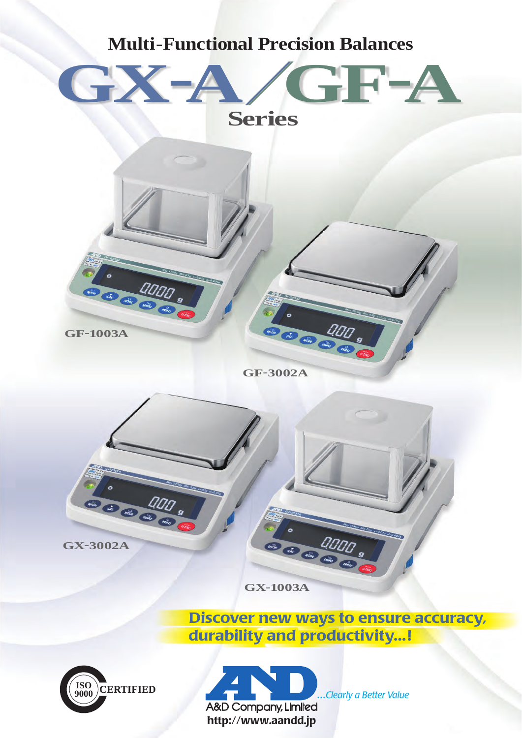

**ISO**

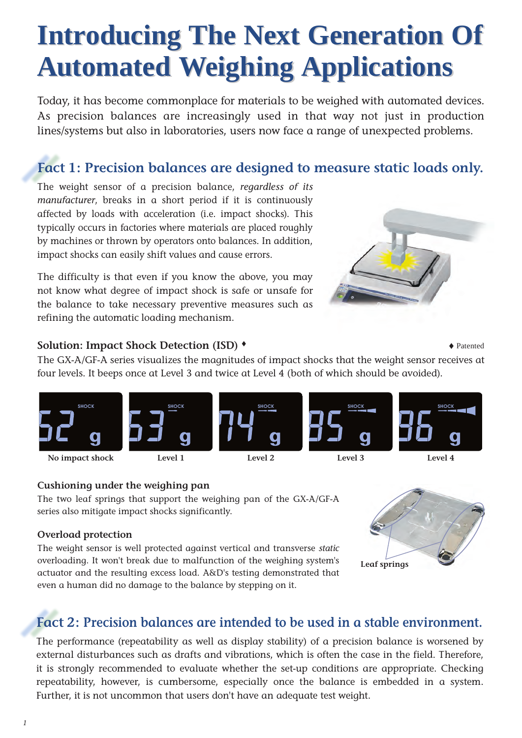# **Introducing The Next Generation Of Introducing The Next Generation Of Automated Weighing Applications Automated Weighing Applications**

Today, it has become commonplace for materials to be weighed with automated devices. As precision balances are increasingly used in that way not just in production lines/systems but also in laboratories, users now face a range of unexpected problems.

# **Fact 1: Precision balances are designed to measure static loads only.**

The weight sensor of a precision balance, *regardless of its manufacturer*, breaks in a short period if it is continuously affected by loads with acceleration (i.e. impact shocks). This typically occurs in factories where materials are placed roughly by machines or thrown by operators onto balances. In addition, impact shocks can easily shift values and cause errors.

The difficulty is that even if you know the above, you may not know what degree of impact shock is safe or unsafe for the balance to take necessary preventive measures such as refining the automatic loading mechanism.



### **Solution: Impact Shock Detection (ISD)**  $\bullet$

The GX-A/GF-A series visualizes the magnitudes of impact shocks that the weight sensor receives at four levels. It beeps once at Level 3 and twice at Level 4 (both of which should be avoided).



### **Cushioning under the weighing pan**

The two leaf springs that support the weighing pan of the GX-A/GF-A series also mitigate impact shocks significantly.

#### **Overload protection**

The weight sensor is well protected against vertical and transverse *static* overloading. It won't break due to malfunction of the weighing system's actuator and the resulting excess load. A&D's testing demonstrated that even a human did no damage to the balance by stepping on it.



# **Fact 2: Precision balances are intended to be used in a stable environment.**

The performance (repeatability as well as display stability) of a precision balance is worsened by external disturbances such as drafts and vibrations, which is often the case in the field. Therefore, it is strongly recommended to evaluate whether the set-up conditions are appropriate. Checking repeatability, however, is cumbersome, especially once the balance is embedded in a system. Further, it is not uncommon that users don't have an adequate test weight.

*1*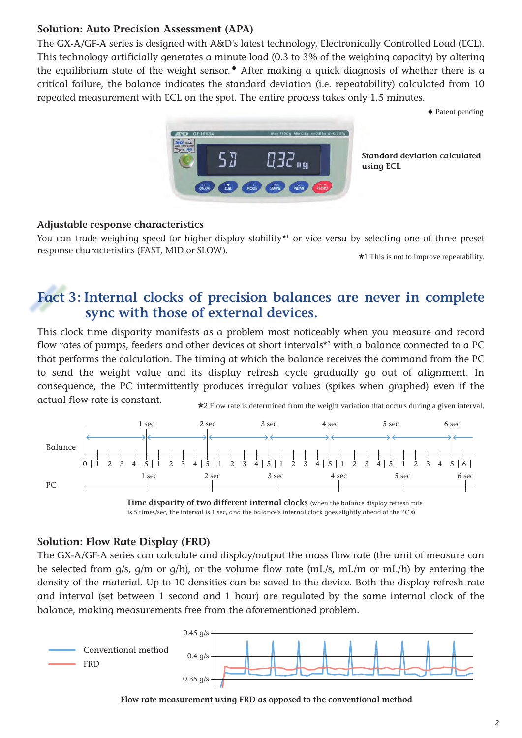### **Solution: Auto Precision Assessment (APA)**

The GX-A/GF-A series is designed with A&D's latest technology, Electronically Controlled Load (ECL). This technology artificially generates a minute load (0.3 to 3% of the weighing capacity) by altering the equilibrium state of the weight sensor.  $\bullet$  After making a quick diagnosis of whether there is a critical failure, the balance indicates the standard deviation (i.e. repeatability) calculated from 10 repeated measurement with ECL on the spot. The entire process takes only 1.5 minutes.

♦ Patent pending



**Standard deviation calculated using ECL**

### **Adjustable response characteristics**

You can trade weighing speed for higher display stability<sup>\*1</sup> or vice versa by selecting one of three preset response characteristics (FAST, MID or SLOW).

\*1 This is not to improve repeatability.

# **Fact 3: Internal clocks of precision balances are never in complete sync with those of external devices.**

This clock time disparity manifests as a problem most noticeably when you measure and record flow rates of pumps, feeders and other devices at short intervals\*2 with a balance connected to a PC that performs the calculation. The timing at which the balance receives the command from the PC to send the weight value and its display refresh cycle gradually go out of alignment. In consequence, the PC intermittently produces irregular values (spikes when graphed) even if the actual flow rate is constant.



**Time disparity of two different internal clocks** (when the balance display refresh rate is 5 times/sec, the interval is 1 sec, and the balance's internal clock goes slightly ahead of the PC's)

### **Solution: Flow Rate Display (FRD)**

The GX-A/GF-A series can calculate and display/output the mass flow rate (the unit of measure can be selected from g/s, g/m or g/h), or the volume flow rate (mL/s, mL/m or mL/h) by entering the density of the material. Up to 10 densities can be saved to the device. Both the display refresh rate and interval (set between 1 second and 1 hour) are regulated by the same internal clock of the balance, making measurements free from the aforementioned problem.



**Flow rate measurement using FRD as opposed to the conventional method**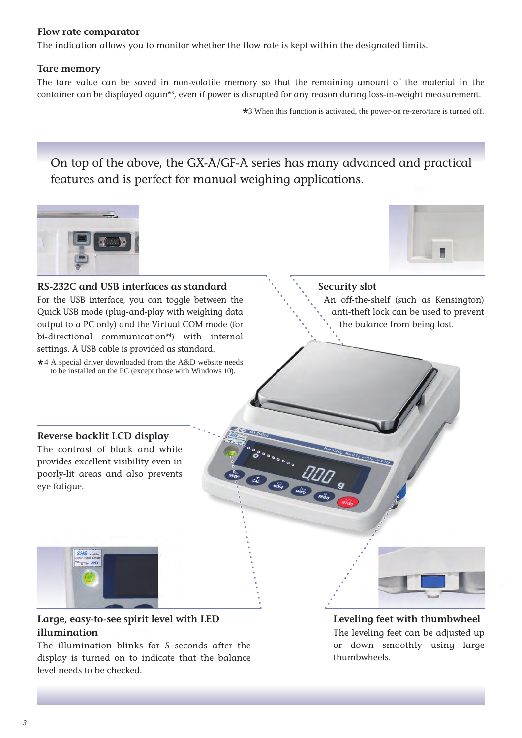#### **Flow rate comparator**

The indication allows you to monitor whether the flow rate is kept within the designated limits.

#### **Tare memory**

The tare value can be saved in non-volatile memory so that the remaining amount of the material in the container can be displayed again\*3 , even if power is disrupted for any reason during loss-in-weight measurement.

\*3 When this function is activated, the power-on re-zero/tare is turned off.

On top of the above, the GX-A/GF-A series has many advanced and practical features and is perfect for manual weighing applications.



#### **RS-232C and USB interfaces as standard**

For the USB interface, you can toggle between the Quick USB mode (plug-and-play with weighing data output to a PC only) and the Virtual COM mode (for bi-directional communication\*4 ) with internal settings. A USB cable is provided as standard.

\*4 A special driver downloaded from the A&D website needs to be installed on the PC (except those with Windows 10).



#### **Security slot**

An off-the-shelf (such as Kensington) anti-theft lock can be used to prevent the balance from being lost.

#### **Reverse backlit LCD display**

The contrast of black and white provides excellent visibility even in poorly-lit areas and also prevents eye fatigue.



### **Large, easy-to-see spirit level with LED illumination**

The illumination blinks for 5 seconds after the display is turned on to indicate that the balance level needs to be checked.

#### **Leveling feet with thumbwheel**

The leveling feet can be adjusted up or down smoothly using large thumbwheels.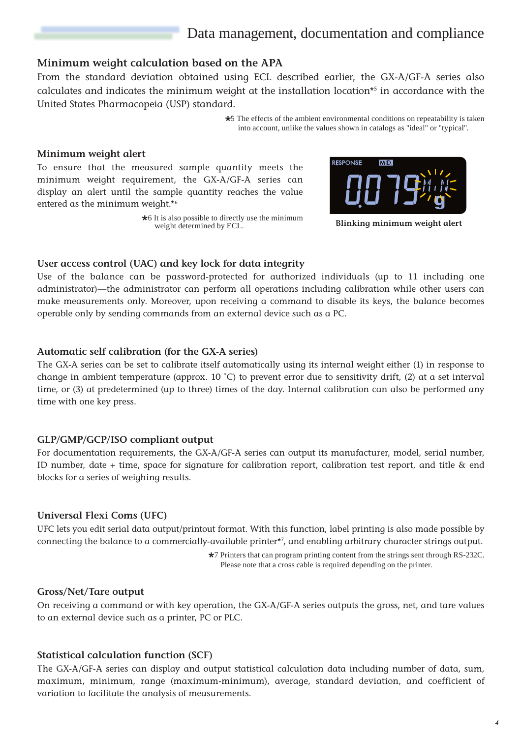# Data management, documentation and compliance

#### **Minimum weight calculation based on the APA**

From the standard deviation obtained using ECL described earlier, the GX-A/GF-A series also calculates and indicates the minimum weight at the installation location\*5 in accordance with the United States Pharmacopeia (USP) standard.

> \*5 The effects of the ambient environmental conditions on repeatability is taken into account, unlike the values shown in catalogs as "ideal" or "typical".

#### **Minimum weight alert**

To ensure that the measured sample quantity meets the minimum weight requirement, the GX-A/GF-A series can display an alert until the sample quantity reaches the value entered as the minimum weight.\*6

> $\star$ 6 It is also possible to directly use the minimum weight determined by ECL.



**Blinking minimum weight alert**

#### **User access control (UAC) and key lock for data integrity**

Use of the balance can be password-protected for authorized individuals (up to 11 including one administrator)—the administrator can perform all operations including calibration while other users can make measurements only. Moreover, upon receiving a command to disable its keys, the balance becomes operable only by sending commands from an external device such as a PC.

#### **Automatic self calibration (for the GX-A series)**

The GX-A series can be set to calibrate itself automatically using its internal weight either (1) in response to change in ambient temperature (approx. 10 ˚C) to prevent error due to sensitivity drift, (2) at a set interval time, or (3) at predetermined (up to three) times of the day. Internal calibration can also be performed any time with one key press.

#### **GLP/GMP/GCP/ISO compliant output**

For documentation requirements, the GX-A/GF-A series can output its manufacturer, model, serial number, ID number, date + time, space for signature for calibration report, calibration test report, and title & end blocks for a series of weighing results.

#### **Universal Flexi Coms (UFC)**

UFC lets you edit serial data output/printout format. With this function, label printing is also made possible by connecting the balance to a commercially-available printer\*7 , and enabling arbitrary character strings output.

> \*7 Printers that can program printing content from the strings sent through RS-232C. Please note that a cross cable is required depending on the printer.

#### **Gross/Net/Tare output**

On receiving a command or with key operation, the GX-A/GF-A series outputs the gross, net, and tare values to an external device such as a printer, PC or PLC.

#### **Statistical calculation function (SCF)**

The GX-A/GF-A series can display and output statistical calculation data including number of data, sum, maximum, minimum, range (maximum-minimum), average, standard deviation, and coefficient of variation to facilitate the analysis of measurements.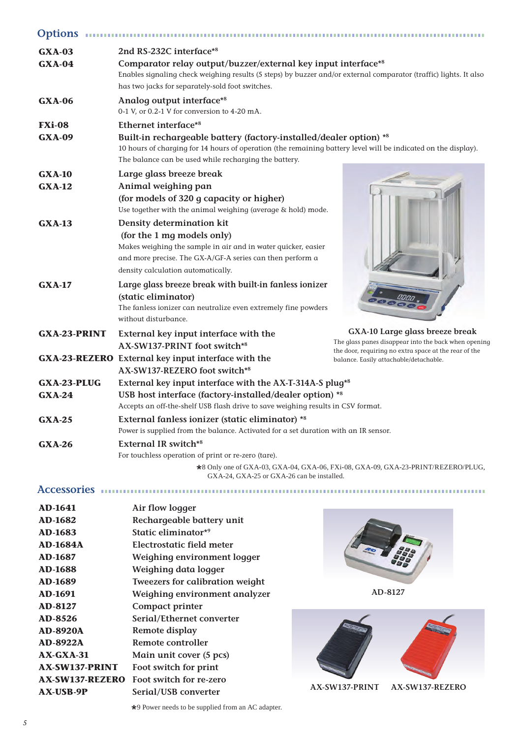| <b>Options</b>                 |                                                                                                                                                                                                                                                                   |                                                                                                                                                  |  |  |  |  |  |
|--------------------------------|-------------------------------------------------------------------------------------------------------------------------------------------------------------------------------------------------------------------------------------------------------------------|--------------------------------------------------------------------------------------------------------------------------------------------------|--|--|--|--|--|
| <b>GXA-03</b><br>$GXA-04$      | 2nd RS-232C interface*8<br>Comparator relay output/buzzer/external key input interface*8<br>Enables signaling check weighing results (5 steps) by buzzer and/or external comparator (traffic) lights. It also<br>has two jacks for separately-sold foot switches. |                                                                                                                                                  |  |  |  |  |  |
| <b>GXA-06</b>                  | Analog output interface*8<br>0-1 V, or 0.2-1 V for conversion to 4-20 mA.                                                                                                                                                                                         |                                                                                                                                                  |  |  |  |  |  |
| <b>FXi-08</b>                  | Ethernet interface*8                                                                                                                                                                                                                                              |                                                                                                                                                  |  |  |  |  |  |
| <b>GXA-09</b>                  | Built-in rechargeable battery (factory-installed/dealer option) *8<br>10 hours of charging for 14 hours of operation (the remaining battery level will be indicated on the display).<br>The balance can be used while recharging the battery.                     |                                                                                                                                                  |  |  |  |  |  |
| <b>GXA-10</b>                  | Large glass breeze break                                                                                                                                                                                                                                          |                                                                                                                                                  |  |  |  |  |  |
| $GXA-12$                       | Animal weighing pan<br>(for models of 320 g capacity or higher)<br>Use together with the animal weighing (average & hold) mode.                                                                                                                                   |                                                                                                                                                  |  |  |  |  |  |
| $GXA-13$                       | Density determination kit<br>(for the 1 mg models only)<br>Makes weighing the sample in air and in water quicker, easier<br>and more precise. The GX-A/GF-A series can then perform a<br>density calculation automatically.                                       |                                                                                                                                                  |  |  |  |  |  |
| <b>GXA-17</b>                  | Large glass breeze break with built-in fanless ionizer<br>(static eliminator)<br>The fanless ionizer can neutralize even extremely fine powders<br>without disturbance.                                                                                           |                                                                                                                                                  |  |  |  |  |  |
| <b>GXA-23-PRINT</b>            | External key input interface with the<br>AX-SW137-PRINT foot switch*8                                                                                                                                                                                             | GXA-10 Large glass breeze break<br>The glass panes disappear into the back when opening<br>the door, requiring no extra space at the rear of the |  |  |  |  |  |
|                                | <b>GXA-23-REZERO</b> External key input interface with the<br>AX-SW137-REZERO foot switch*8                                                                                                                                                                       | balance. Easily attachable/detachable.                                                                                                           |  |  |  |  |  |
| <b>GXA-23-PLUG</b><br>$GXA-24$ | External key input interface with the AX-T-314A-S plug*8<br>USB host interface (factory-installed/dealer option) *8<br>Accepts an off-the-shelf USB flash drive to save weighing results in CSV format.                                                           |                                                                                                                                                  |  |  |  |  |  |
| <b>GXA-25</b>                  | External fanless ionizer (static eliminator) *8<br>Power is supplied from the balance. Activated for a set duration with an IR sensor.                                                                                                                            |                                                                                                                                                  |  |  |  |  |  |
| <b>GXA-26</b>                  | <b>External IR switch*8</b><br>For touchless operation of print or re-zero (tare).                                                                                                                                                                                | *8 Only one of GXA-03, GXA-04, GXA-06, FXi-08, GXA-09, GXA-23-PRINT/REZERO/PLUG,                                                                 |  |  |  |  |  |
|                                | GXA-24, GXA-25 or GXA-26 can be installed.                                                                                                                                                                                                                        |                                                                                                                                                  |  |  |  |  |  |
|                                | Accessories mummummummummummum                                                                                                                                                                                                                                    |                                                                                                                                                  |  |  |  |  |  |

| <b>AD-1641</b>        | Air flow logger                        |
|-----------------------|----------------------------------------|
| <b>AD-1682</b>        | Rechargeable battery unit              |
| <b>AD-1683</b>        | Static eliminator* <sup>9</sup>        |
| <b>AD-1684A</b>       | Electrostatic field meter              |
| <b>AD-1687</b>        | Weighing environment logger            |
| <b>AD-1688</b>        | Weighing data logger                   |
| <b>AD-1689</b>        | <b>Tweezers for calibration weight</b> |
| <b>AD-1691</b>        | Weighing environment analyzer          |
| <b>AD-8127</b>        | Compact printer                        |
| <b>AD-8526</b>        | Serial/Ethernet converter              |
| <b>AD-8920A</b>       | Remote display                         |
| <b>AD-8922A</b>       | Remote controller                      |
| $AX-GXA-31$           | Main unit cover (5 pcs)                |
| <b>AX-SW137-PRINT</b> | Foot switch for print                  |
| AX-SW137-REZERO       | Foot switch for re-zero                |
| <b>AX-USB-9P</b>      | Serial/USB converter                   |



**AD-8127**



\*9 Power needs to be supplied from an AC adapter.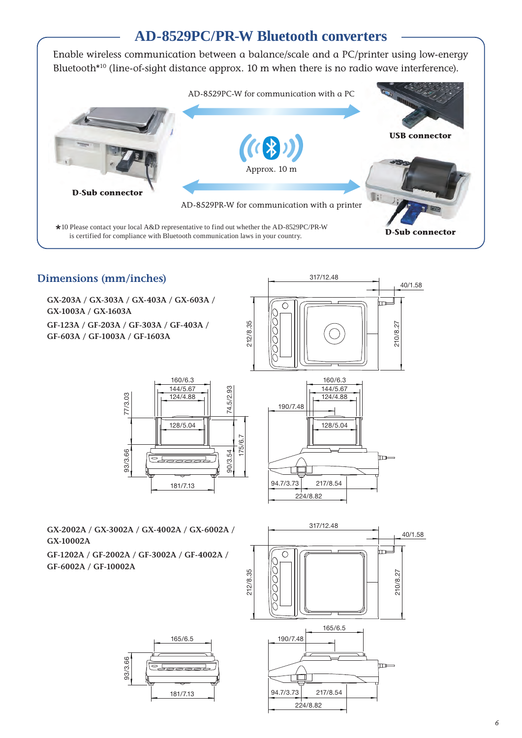# **AD-8529PC/PR-W Bluetooth converters**

Enable wireless communication between a balance/scale and a PC/printer using low-energy Bluetooth<sup>\*10</sup> (line-of-sight distance approx. 10 m when there is no radio wave interference).



# **Dimensions (mm/inches)**

**GX-203A / GX-303A / GX-403A / GX-603A / GX-1003A / GX-1603A**

**GF-123A / GF-203A / GF-303A / GF-403A / GF-603A / GF-1003A / GF-1603A**



317/12.48



160/6.3



**GX-2002A / GX-3002A / GX-4002A / GX-6002A / GX-10002A**

**GF-1202A / GF-2002A / GF-3002A / GF-4002A / GF-6002A / GF-10002A**